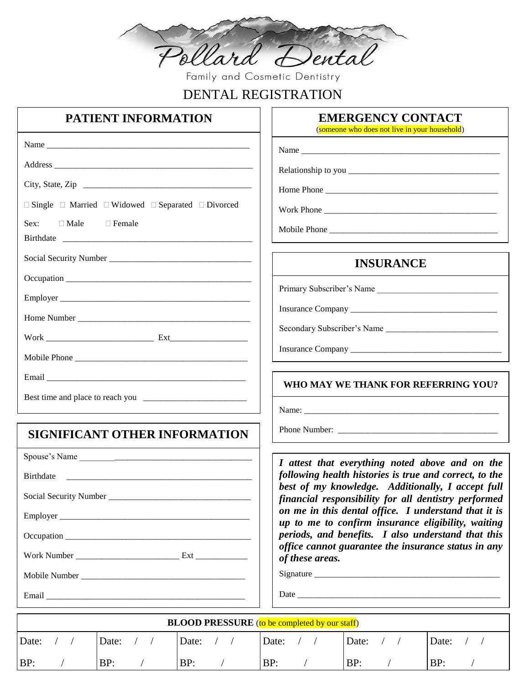

Family and Cosmetic Dentistry

# DENTAL REGISTRATION

## **PATIENT INFORMATION**

Address  $\overline{A}$ 

City, State, Zip

Social Security Number

Employer \_\_\_\_\_\_\_\_\_\_\_\_\_\_\_\_\_\_\_\_\_\_\_\_\_\_\_\_\_\_\_\_\_\_\_\_\_\_\_\_\_\_\_\_

Home Number

Mobile Phone

Email \_\_\_\_\_\_\_\_\_\_\_\_\_\_\_\_\_\_\_\_\_\_\_\_\_\_\_\_\_\_\_\_\_\_\_\_\_\_\_\_\_\_\_\_\_\_

Work \_\_\_\_\_\_\_\_\_\_\_\_\_\_\_\_\_\_\_\_\_\_\_\_\_ Ext\_\_\_\_\_\_\_\_\_\_\_\_\_\_\_\_\_\_

Best time and place to reach you \_\_\_\_\_\_\_\_\_\_\_\_\_\_\_\_\_\_\_\_\_\_\_\_

Occupation \_\_\_\_\_\_\_\_\_\_\_\_\_\_\_\_\_\_\_\_\_\_\_\_\_\_\_\_\_\_\_\_\_\_\_\_\_\_\_\_\_\_\_

 $\Box$  Single  $\Box$  Married  $\Box$  Widowed  $\Box$  Separated  $\Box$  Divorced

Sex: Male Female

Birthdate

Name \_\_\_\_\_\_\_\_\_\_\_\_\_\_\_\_\_\_\_\_\_\_\_\_\_\_\_\_\_\_\_\_\_\_\_\_\_\_\_\_\_\_\_\_\_\_\_

(someone who does not live in your household)

Name

Relationship to you \_\_\_\_\_\_\_\_\_\_\_\_\_\_\_\_\_\_\_\_\_\_\_\_\_\_\_\_\_\_\_\_\_\_\_

Home Phone \_\_\_\_\_\_\_\_\_\_\_\_\_\_\_\_\_\_\_\_\_\_\_\_\_\_\_\_\_\_\_\_\_\_\_\_\_\_\_\_

Work Phone

Mobile Phone

### **INSURANCE**

Primary Subscriber's Name

Insurance Company \_\_\_\_\_\_\_\_\_\_\_\_\_\_\_\_\_\_\_\_\_\_\_\_\_\_\_\_\_\_\_\_\_\_

Secondary Subscriber's Name \_\_\_\_\_\_\_\_\_\_\_\_\_\_\_\_\_\_\_\_\_\_\_\_\_\_

Insurance Company \_\_\_\_\_\_\_\_\_\_\_\_\_\_\_\_\_\_\_\_\_\_\_\_\_\_\_\_\_\_\_\_\_\_\_

### **WHO MAY WE THANK FOR REFERRING YOU?**

Name:

Phone Number: \_\_\_\_\_\_\_\_\_\_\_\_\_\_\_\_\_\_\_\_\_\_\_\_\_\_\_\_\_\_\_\_\_\_\_\_\_

*I attest that everything noted above and on the following health histories is true and correct, to the best of my knowledge. Additionally, I accept full financial responsibility for all dentistry performed on me in this dental office. I understand that it is up to me to confirm insurance eligibility, waiting periods, and benefits. I also understand that this office cannot guarantee the insurance status in any of these areas.*

Signature \_\_\_\_\_\_\_\_\_\_\_\_\_\_\_\_\_\_\_\_\_\_\_\_\_\_\_\_\_\_\_\_\_\_\_\_\_\_\_\_\_\_\_

Date \_\_\_\_\_\_\_\_\_\_\_\_\_\_\_\_\_\_\_\_\_\_\_\_\_\_\_\_\_\_\_\_\_\_\_\_\_\_\_\_\_\_\_\_\_\_\_

| <b>BLOOD PRESSURE</b> (to be completed by our staff) |       |       |       |       |       |
|------------------------------------------------------|-------|-------|-------|-------|-------|
| Date:                                                | Date: | Date: | Date: | Date: | Date: |
| BP:                                                  | BP:   | BP:   | BP:   | BP:   | BP:   |

### **SIGNIFICANT OTHER INFORMATION**

Spouse's Name \_\_\_\_\_\_\_\_\_\_\_\_\_\_\_\_\_\_\_\_\_\_\_\_\_\_\_\_\_\_\_\_\_\_\_\_\_\_\_\_ Birthdate

Social Security Number \_\_\_\_\_\_\_\_\_\_\_\_\_\_\_\_\_\_\_\_\_\_\_\_\_\_\_\_\_\_\_\_\_

Employer \_\_\_\_\_\_\_\_\_\_\_\_\_\_\_\_\_\_\_\_\_\_\_\_\_\_\_\_\_\_\_\_\_\_\_\_\_\_\_\_\_\_\_\_

Occupation \_\_\_\_\_\_\_\_\_\_\_\_\_\_\_\_\_\_\_\_\_\_\_\_\_\_\_\_\_\_\_\_\_\_\_\_\_\_\_\_\_\_\_

Work Number **Ext** 

Mobile Number \_\_\_\_\_\_\_\_\_\_\_\_\_\_\_\_\_\_\_\_\_\_\_\_\_\_\_\_\_\_\_\_\_\_\_\_\_\_

Email \_\_\_\_\_\_\_\_\_\_\_\_\_\_\_\_\_\_\_\_\_\_\_\_\_\_\_\_\_\_\_\_\_\_\_\_\_\_\_\_\_\_\_\_\_\_